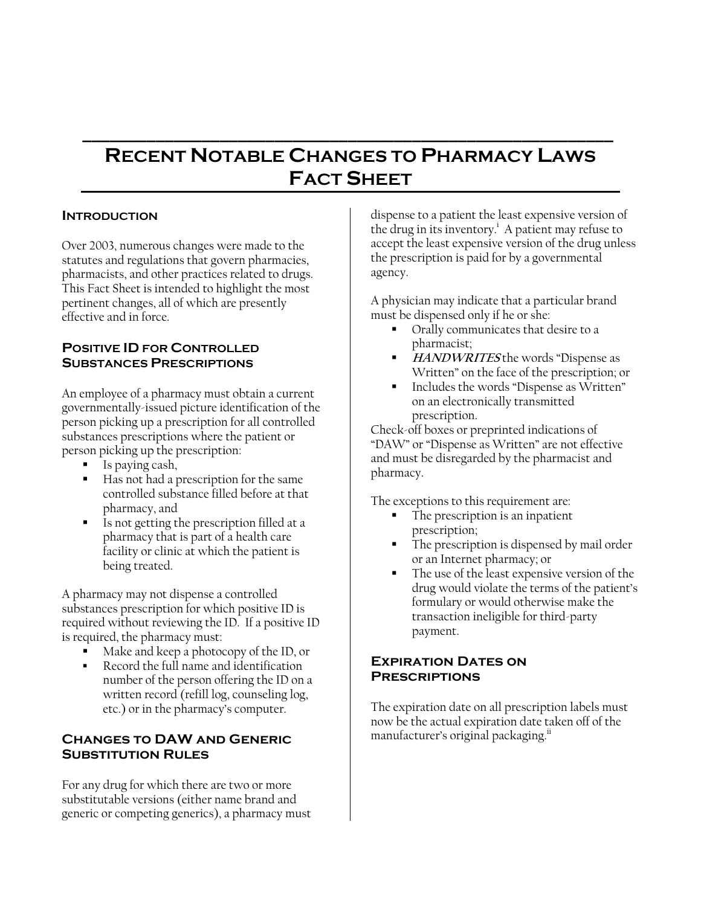# **RECENT NOTABLE CHANGES TO PHARMACY LAWS FACT SHEET**

**\_\_\_\_\_\_\_\_\_\_\_\_\_\_\_\_\_\_\_\_\_\_\_\_\_\_\_\_\_\_\_\_\_\_\_\_\_\_\_\_\_\_\_\_\_\_\_\_\_\_\_\_\_\_\_\_\_\_** 

#### **INTRODUCTION**

Over 2003, numerous changes were made to the statutes and regulations that govern pharmacies, pharmacists, and other practices related to drugs. This Fact Sheet is intended to highlight the most pertinent changes, all of which are presently effective and in force.

#### **POSITIVE ID FOR CONTROLLED SUBSTANCES PRESCRIPTIONS**

An employee of a pharmacy must obtain a current governmentally-issued picture identification of the person picking up a prescription for all controlled substances prescriptions where the patient or person picking up the prescription:

- Is paying cash,
- Has not had a prescription for the same controlled substance filled before at that pharmacy, and
- Is not getting the prescription filled at a pharmacy that is part of a health care facility or clinic at which the patient is being treated.

A pharmacy may not dispense a controlled substances prescription for which positive ID is required without reviewing the ID. If a positive ID is required, the pharmacy must:

- Make and keep a photocopy of the ID, or
- Record the full name and identification number of the person offering the ID on a written record (refill log, counseling log, etc.) or in the pharmacy's computer.

## **Changes to DAW and Generic Substitution Rules**

For any drug for which there are two or more substitutable versions (either name brand and generic or competing generics), a pharmacy must dispense to a patient the least expensive version of the drug in its inventory.<sup>1</sup> A patient may refuse to accept the least expensive version of the drug unless the prescription is paid for by a governmental agency.

A physician may indicate that a particular brand must be dispensed only if he or she:

- Orally communicates that desire to a pharmacist;
- **HANDWRITES** the words "Dispense as Written" on the face of the prescription; or
- Includes the words "Dispense as Written" on an electronically transmitted prescription.

Check-off boxes or preprinted indications of "DAW" or "Dispense as Written" are not effective and must be disregarded by the pharmacist and pharmacy.

The exceptions to this requirement are:

- The prescription is an inpatient prescription;
- The prescription is dispensed by mail order or an Internet pharmacy; or
- The use of the least expensive version of the drug would violate the terms of the patient's formulary or would otherwise make the transaction ineligible for third-party payment.

#### **Expiration Dates on Prescriptions**

The expiration date on all prescription labels must now be the actual expiration date taken off of the manufacturer's original packaging.<sup>ii</sup>